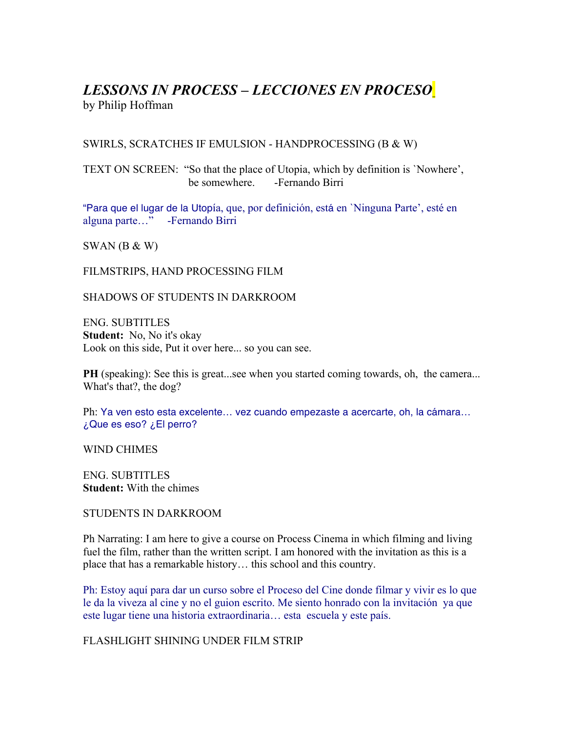# *LESSONS IN PROCESS – LECCIONES EN PROCESO* by Philip Hoffman

# SWIRLS, SCRATCHES IF EMULSION - HANDPROCESSING (B & W)

TEXT ON SCREEN: "So that the place of Utopia, which by definition is `Nowhere', be somewhere. -Fernando Birri

"Para que el lugar de la Utopía, que, por definición, está en `Ninguna Parte', esté en alguna parte…" -Fernando Birri

 $SWAN$  (B & W)

FILMSTRIPS, HAND PROCESSING FILM

SHADOWS OF STUDENTS IN DARKROOM

ENG. SUBTITLES **Student:** No, No it's okay Look on this side, Put it over here... so you can see.

**PH** (speaking): See this is great...see when you started coming towards, oh, the camera... What's that?, the dog?

Ph: Ya ven esto esta excelente… vez cuando empezaste a acercarte, oh, la cámara… ¿Que es eso? ¿El perro?

WIND CHIMES

ENG. SUBTITLES **Student:** With the chimes

STUDENTS IN DARKROOM

Ph Narrating: I am here to give a course on Process Cinema in which filming and living fuel the film, rather than the written script. I am honored with the invitation as this is a place that has a remarkable history… this school and this country.

Ph: Estoy aquí para dar un curso sobre el Proceso del Cine donde filmar y vivir es lo que le da la viveza al cine y no el guion escrito. Me siento honrado con la invitación ya que este lugar tiene una historia extraordinaria… esta escuela y este país.

FLASHLIGHT SHINING UNDER FILM STRIP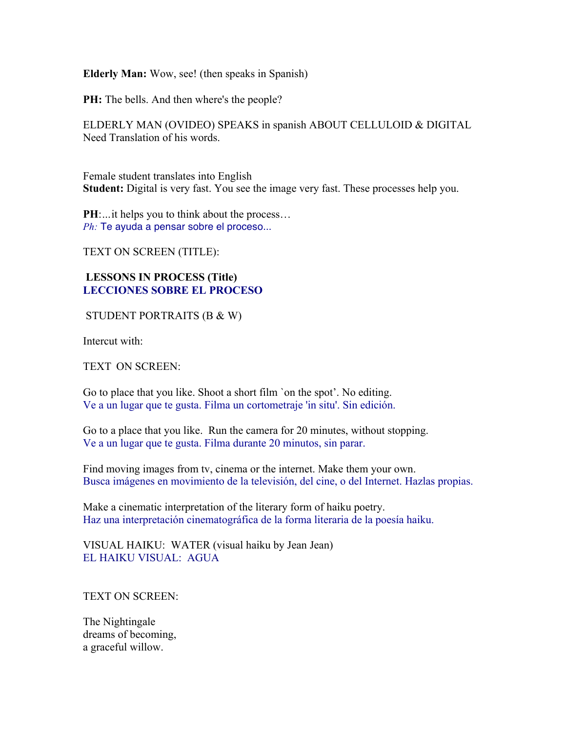**Elderly Man:** Wow, see! (then speaks in Spanish)

**PH:** The bells. And then where's the people?

ELDERLY MAN (OVIDEO) SPEAKS in spanish ABOUT CELLULOID & DIGITAL Need Translation of his words.

Female student translates into English **Student:** Digital is very fast. You see the image very fast. These processes help you.

**PH**:... it helps you to think about the process... *Ph:* Te ayuda a pensar sobre el proceso...

TEXT ON SCREEN (TITLE):

# **LESSONS IN PROCESS (Title) LECCIONES SOBRE EL PROCESO**

STUDENT PORTRAITS (B & W)

Intercut with:

TEXT ON SCREEN:

Go to place that you like. Shoot a short film `on the spot'. No editing. Ve a un lugar que te gusta. Filma un cortometraje 'in situ'. Sin edición.

Go to a place that you like. Run the camera for 20 minutes, without stopping. Ve a un lugar que te gusta. Filma durante 20 minutos, sin parar.

Find moving images from tv, cinema or the internet. Make them your own. Busca imágenes en movimiento de la televisión, del cine, o del Internet. Hazlas propias.

Make a cinematic interpretation of the literary form of haiku poetry. Haz una interpretación cinematográfica de la forma literaria de la poesía haiku.

VISUAL HAIKU: WATER (visual haiku by Jean Jean) EL HAIKU VISUAL: AGUA

TEXT ON SCREEN:

The Nightingale dreams of becoming, a graceful willow.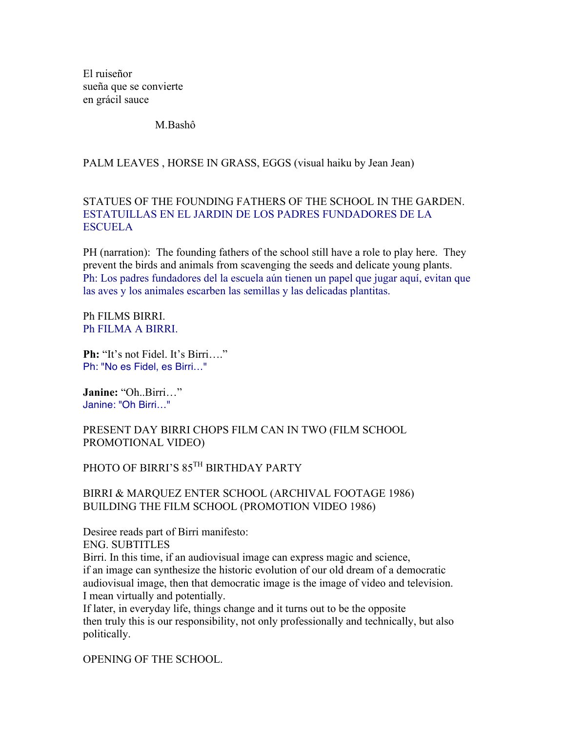El ruiseñor sueña que se convierte en grácil sauce

M.Bashô

# PALM LEAVES , HORSE IN GRASS, EGGS (visual haiku by Jean Jean)

# STATUES OF THE FOUNDING FATHERS OF THE SCHOOL IN THE GARDEN. ESTATUILLAS EN EL JARDIN DE LOS PADRES FUNDADORES DE LA **ESCUELA**

PH (narration): The founding fathers of the school still have a role to play here. They prevent the birds and animals from scavenging the seeds and delicate young plants. Ph: Los padres fundadores del la escuela aún tienen un papel que jugar aquí, evitan que las aves y los animales escarben las semillas y las delicadas plantitas.

Ph FILMS BIRRI. Ph FILMA A BIRRI.

**Ph:** "It's not Fidel. It's Birri...." Ph: "No es Fidel, es Birri…"

**Janine:** "Oh..Birri…" Janine: "Oh Birri…"

# PRESENT DAY BIRRI CHOPS FILM CAN IN TWO (FILM SCHOOL PROMOTIONAL VIDEO)

# PHOTO OF BIRRI'S 85TH BIRTHDAY PARTY

# BIRRI & MARQUEZ ENTER SCHOOL (ARCHIVAL FOOTAGE 1986) BUILDING THE FILM SCHOOL (PROMOTION VIDEO 1986)

Desiree reads part of Birri manifesto: ENG. SUBTITLES Birri. In this time, if an audiovisual image can express magic and science, if an image can synthesize the historic evolution of our old dream of a democratic audiovisual image, then that democratic image is the image of video and television. I mean virtually and potentially.

If later, in everyday life, things change and it turns out to be the opposite then truly this is our responsibility, not only professionally and technically, but also politically.

OPENING OF THE SCHOOL.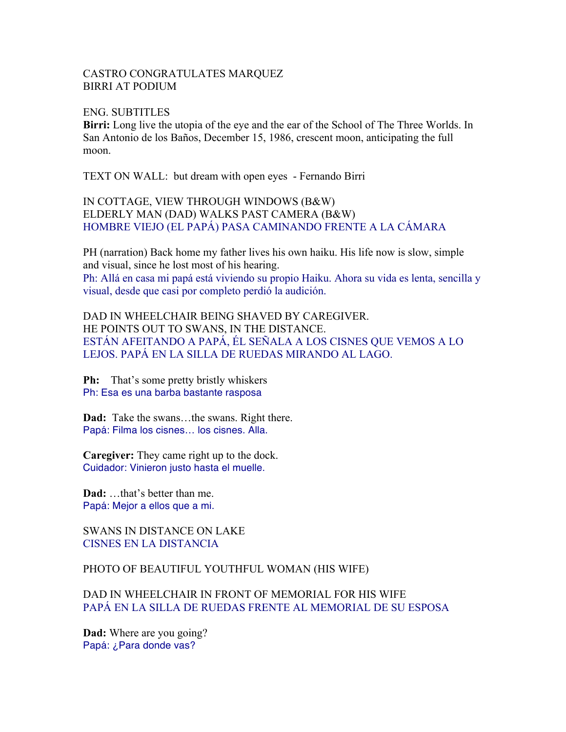### CASTRO CONGRATULATES MARQUEZ BIRRI AT PODIUM

ENG. SUBTITLES

**Birri:** Long live the utopia of the eye and the ear of the School of The Three Worlds. In San Antonio de los Baños, December 15, 1986, crescent moon, anticipating the full moon.

TEXT ON WALL: but dream with open eyes - Fernando Birri

IN COTTAGE, VIEW THROUGH WINDOWS (B&W) ELDERLY MAN (DAD) WALKS PAST CAMERA (B&W) HOMBRE VIEJO (EL PAPÁ) PASA CAMINANDO FRENTE A LA CÁMARA

PH (narration) Back home my father lives his own haiku. His life now is slow, simple and visual, since he lost most of his hearing.

Ph: Allá en casa mi papá está viviendo su propio Haiku. Ahora su vida es lenta, sencilla y visual, desde que casi por completo perdió la audición.

DAD IN WHEELCHAIR BEING SHAVED BY CAREGIVER. HE POINTS OUT TO SWANS, IN THE DISTANCE. ESTÁN AFEITANDO A PAPÁ, ÉL SEÑALA A LOS CISNES QUE VEMOS A LO LEJOS. PAPÁ EN LA SILLA DE RUEDAS MIRANDO AL LAGO.

**Ph:** That's some pretty bristly whiskers Ph: Esa es una barba bastante rasposa

**Dad:** Take the swans…the swans. Right there. Papá: Filma los cisnes… los cisnes. Alla.

**Caregiver:** They came right up to the dock. Cuidador: Vinieron justo hasta el muelle.

**Dad:** …that's better than me. Papá: Mejor a ellos que a mi.

SWANS IN DISTANCE ON LAKE CISNES EN LA DISTANCIA

PHOTO OF BEAUTIFUL YOUTHFUL WOMAN (HIS WIFE)

DAD IN WHEELCHAIR IN FRONT OF MEMORIAL FOR HIS WIFE PAPÁ EN LA SILLA DE RUEDAS FRENTE AL MEMORIAL DE SU ESPOSA

**Dad:** Where are you going? Papá: ¿Para donde vas?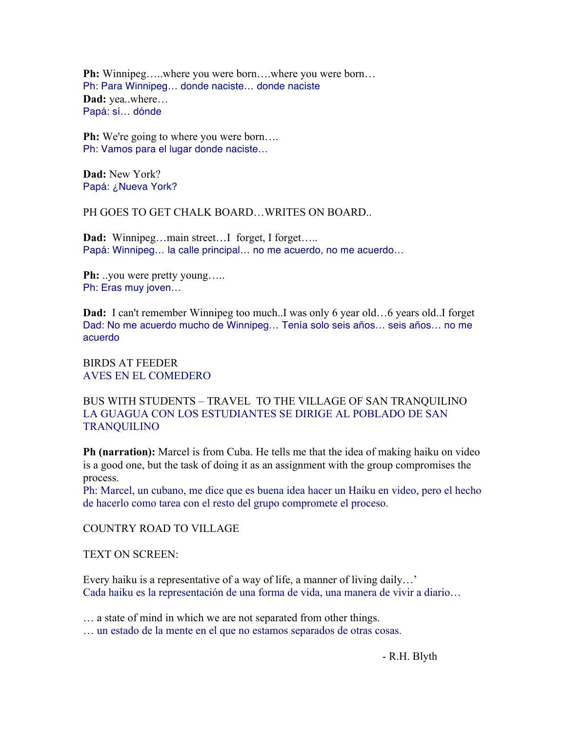**Ph:** Winnipeg….where you were born…where you were born… Ph: Para Winnipeg… donde naciste… donde naciste **Dad:** yea..where… Papá: sí… dónde

**Ph:** We're going to where you were born.... Ph: Vamos para el lugar donde naciste…

**Dad:** New York? Papá: ¿Nueva York?

PH GOES TO GET CHALK BOARD…WRITES ON BOARD..

Dad: Winnipeg...main street...I forget, I forget..... Papá: Winnipeg… la calle principal… no me acuerdo, no me acuerdo…

**Ph:** ..you were pretty young….. Ph: Eras muy joven…

**Dad:** I can't remember Winnipeg too much..I was only 6 year old...6 years old..I forget Dad: No me acuerdo mucho de Winnipeg… Tenía solo seis años… seis años… no me acuerdo

BIRDS AT FEEDER AVES EN EL COMEDERO

BUS WITH STUDENTS – TRAVEL TO THE VILLAGE OF SAN TRANQUILINO LA GUAGUA CON LOS ESTUDIANTES SE DIRIGE AL POBLADO DE SAN TRANQUILINO

**Ph (narration):** Marcel is from Cuba. He tells me that the idea of making haiku on video is a good one, but the task of doing it as an assignment with the group compromises the process.

Ph: Marcel, un cubano, me dice que es buena idea hacer un Haiku en video, pero el hecho de hacerlo como tarea con el resto del grupo compromete el proceso.

COUNTRY ROAD TO VILLAGE

TEXT ON SCREEN:

Every haiku is a representative of a way of life, a manner of living daily…' Cada haiku es la representación de una forma de vida, una manera de vivir a diario…

… a state of mind in which we are not separated from other things.

… un estado de la mente en el que no estamos separados de otras cosas.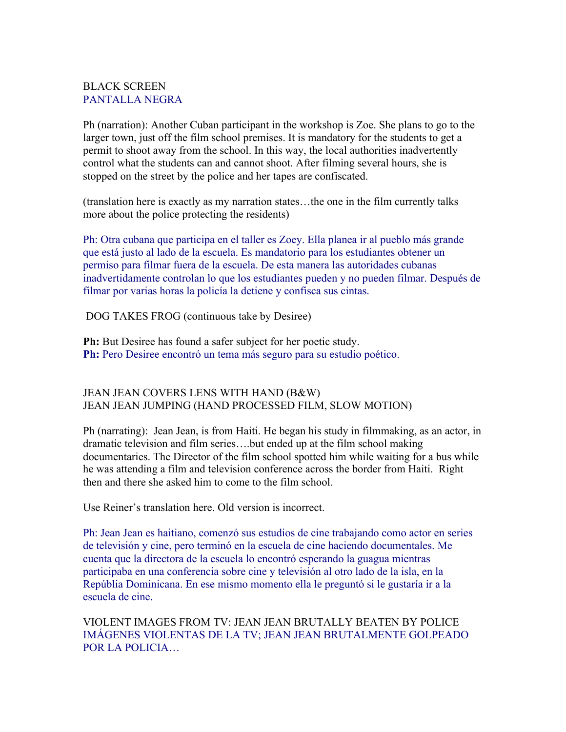# BLACK SCREEN PANTALLA NEGRA

Ph (narration): Another Cuban participant in the workshop is Zoe. She plans to go to the larger town, just off the film school premises. It is mandatory for the students to get a permit to shoot away from the school. In this way, the local authorities inadvertently control what the students can and cannot shoot. After filming several hours, she is stopped on the street by the police and her tapes are confiscated.

(translation here is exactly as my narration states…the one in the film currently talks more about the police protecting the residents)

Ph: Otra cubana que participa en el taller es Zoey. Ella planea ir al pueblo más grande que está justo al lado de la escuela. Es mandatorio para los estudiantes obtener un permiso para filmar fuera de la escuela. De esta manera las autoridades cubanas inadvertidamente controlan lo que los estudiantes pueden y no pueden filmar. Después de filmar por varias horas la policía la detiene y confisca sus cintas.

DOG TAKES FROG (continuous take by Desiree)

**Ph:** But Desiree has found a safer subject for her poetic study. **Ph:** Pero Desiree encontró un tema más seguro para su estudio poético.

# JEAN JEAN COVERS LENS WITH HAND (B&W) JEAN JEAN JUMPING (HAND PROCESSED FILM, SLOW MOTION)

Ph (narrating): Jean Jean, is from Haiti. He began his study in filmmaking, as an actor, in dramatic television and film series….but ended up at the film school making documentaries. The Director of the film school spotted him while waiting for a bus while he was attending a film and television conference across the border from Haiti. Right then and there she asked him to come to the film school.

Use Reiner's translation here. Old version is incorrect.

Ph: Jean Jean es haitiano, comenzó sus estudios de cine trabajando como actor en series de televisión y cine, pero terminó en la escuela de cine haciendo documentales. Me cuenta que la directora de la escuela lo encontró esperando la guagua mientras participaba en una conferencia sobre cine y televisión al otro lado de la isla, en la Repúblia Dominicana. En ese mismo momento ella le preguntó si le gustaría ir a la escuela de cine.

VIOLENT IMAGES FROM TV: JEAN JEAN BRUTALLY BEATEN BY POLICE IMÁGENES VIOLENTAS DE LA TV; JEAN JEAN BRUTALMENTE GOLPEADO POR LA POLICIA…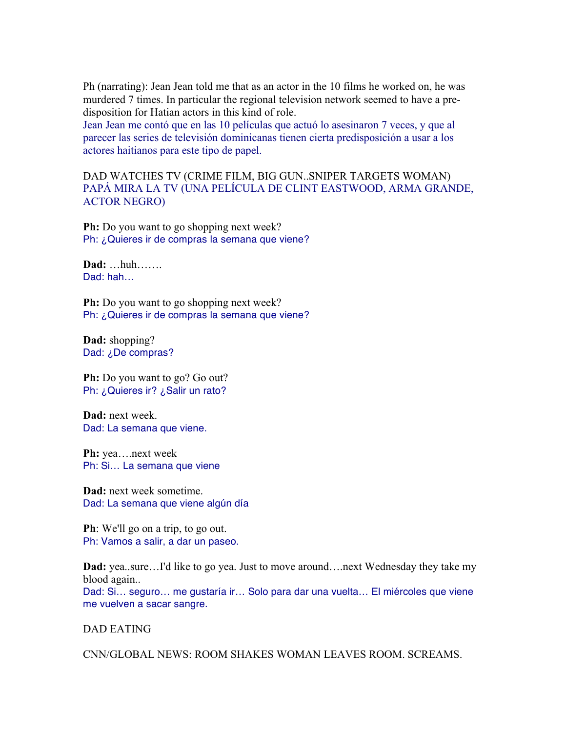Ph (narrating): Jean Jean told me that as an actor in the 10 films he worked on, he was murdered 7 times. In particular the regional television network seemed to have a predisposition for Hatian actors in this kind of role.

Jean Jean me contó que en las 10 películas que actuó lo asesinaron 7 veces, y que al parecer las series de televisión dominicanas tienen cierta predisposición a usar a los actores haitianos para este tipo de papel.

DAD WATCHES TV (CRIME FILM, BIG GUN..SNIPER TARGETS WOMAN) PAPÁ MIRA LA TV (UNA PELÍCULA DE CLINT EASTWOOD, ARMA GRANDE, ACTOR NEGRO)

**Ph:** Do you want to go shopping next week? Ph: ¿Quieres ir de compras la semana que viene?

**Dad:** …huh……. Dad: hah…

**Ph:** Do you want to go shopping next week? Ph: ¿Quieres ir de compras la semana que viene?

**Dad:** shopping? Dad: ¿De compras?

**Ph:** Do you want to go? Go out? Ph: ¿Quieres ir? ¿Salir un rato?

**Dad:** next week. Dad: La semana que viene.

**Ph:** yea….next week Ph: Si… La semana que viene

**Dad:** next week sometime. Dad: La semana que viene algún día

**Ph**: We'll go on a trip, to go out. Ph: Vamos a salir, a dar un paseo.

**Dad:** yea..sure…I'd like to go yea. Just to move around….next Wednesday they take my blood again..

Dad: Si… seguro… me gustaría ir… Solo para dar una vuelta… El miércoles que viene me vuelven a sacar sangre.

DAD EATING

CNN/GLOBAL NEWS: ROOM SHAKES WOMAN LEAVES ROOM. SCREAMS.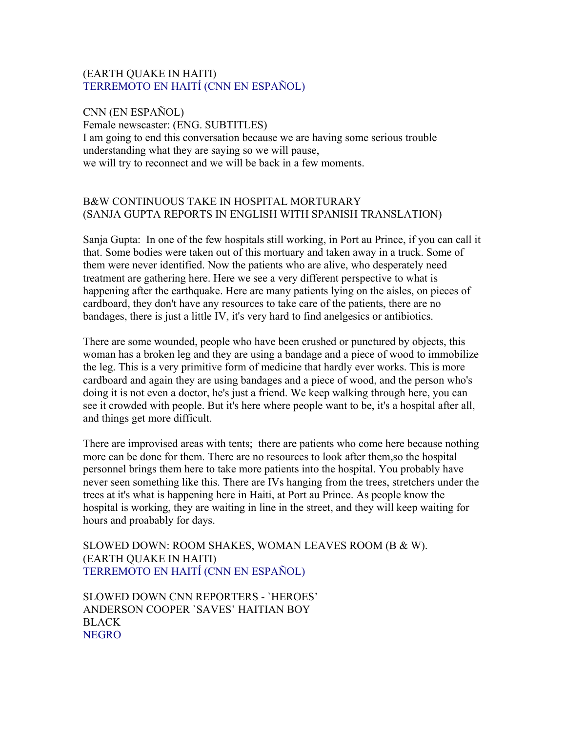# (EARTH QUAKE IN HAITI) TERREMOTO EN HAITÍ (CNN EN ESPAÑOL)

CNN (EN ESPAÑOL) Female newscaster: (ENG. SUBTITLES) I am going to end this conversation because we are having some serious trouble understanding what they are saying so we will pause, we will try to reconnect and we will be back in a few moments.

# B&W CONTINUOUS TAKE IN HOSPITAL MORTURARY (SANJA GUPTA REPORTS IN ENGLISH WITH SPANISH TRANSLATION)

Sanja Gupta: In one of the few hospitals still working, in Port au Prince, if you can call it that. Some bodies were taken out of this mortuary and taken away in a truck. Some of them were never identified. Now the patients who are alive, who desperately need treatment are gathering here. Here we see a very different perspective to what is happening after the earthquake. Here are many patients lying on the aisles, on pieces of cardboard, they don't have any resources to take care of the patients, there are no bandages, there is just a little IV, it's very hard to find anelgesics or antibiotics.

There are some wounded, people who have been crushed or punctured by objects, this woman has a broken leg and they are using a bandage and a piece of wood to immobilize the leg. This is a very primitive form of medicine that hardly ever works. This is more cardboard and again they are using bandages and a piece of wood, and the person who's doing it is not even a doctor, he's just a friend. We keep walking through here, you can see it crowded with people. But it's here where people want to be, it's a hospital after all, and things get more difficult.

There are improvised areas with tents; there are patients who come here because nothing more can be done for them. There are no resources to look after them,so the hospital personnel brings them here to take more patients into the hospital. You probably have never seen something like this. There are IVs hanging from the trees, stretchers under the trees at it's what is happening here in Haiti, at Port au Prince. As people know the hospital is working, they are waiting in line in the street, and they will keep waiting for hours and proabably for days.

SLOWED DOWN: ROOM SHAKES, WOMAN LEAVES ROOM (B & W). (EARTH QUAKE IN HAITI) TERREMOTO EN HAITÍ (CNN EN ESPAÑOL)

SLOWED DOWN CNN REPORTERS - `HEROES' ANDERSON COOPER `SAVES' HAITIAN BOY BLACK **NEGRO**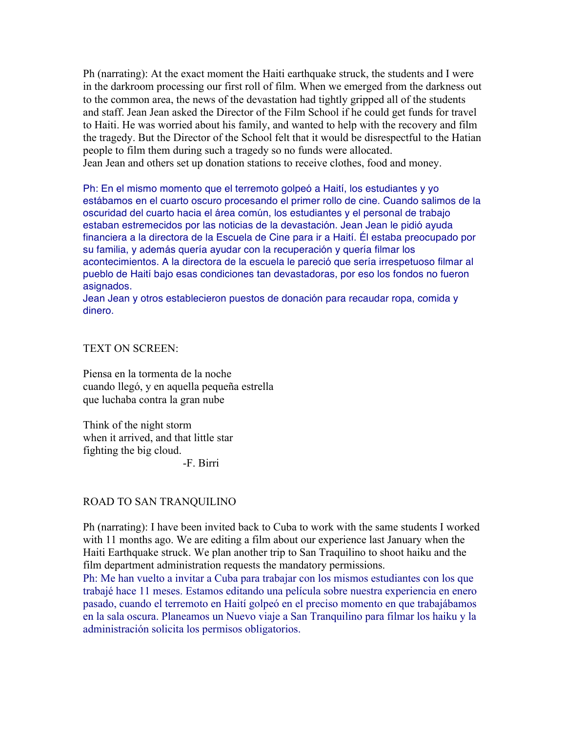Ph (narrating): At the exact moment the Haiti earthquake struck, the students and I were in the darkroom processing our first roll of film. When we emerged from the darkness out to the common area, the news of the devastation had tightly gripped all of the students and staff. Jean Jean asked the Director of the Film School if he could get funds for travel to Haiti. He was worried about his family, and wanted to help with the recovery and film the tragedy. But the Director of the School felt that it would be disrespectful to the Hatian people to film them during such a tragedy so no funds were allocated. Jean Jean and others set up donation stations to receive clothes, food and money.

Ph: En el mismo momento que el terremoto golpeó a Haití, los estudiantes y yo estábamos en el cuarto oscuro procesando el primer rollo de cine. Cuando salimos de la oscuridad del cuarto hacia el área común, los estudiantes y el personal de trabajo estaban estremecidos por las noticias de la devastación. Jean Jean le pidió ayuda financiera a la directora de la Escuela de Cine para ir a Haití. Él estaba preocupado por su familia, y además quería ayudar con la recuperación y quería filmar los acontecimientos. A la directora de la escuela le pareció que sería irrespetuoso filmar al pueblo de Haití bajo esas condiciones tan devastadoras, por eso los fondos no fueron asignados.

Jean Jean y otros establecieron puestos de donación para recaudar ropa, comida y dinero.

TEXT ON SCREEN:

Piensa en la tormenta de la noche cuando llegó, y en aquella pequeña estrella que luchaba contra la gran nube

Think of the night storm when it arrived, and that little star fighting the big cloud.

-F. Birri

#### ROAD TO SAN TRANQUILINO

Ph (narrating): I have been invited back to Cuba to work with the same students I worked with 11 months ago. We are editing a film about our experience last January when the Haiti Earthquake struck. We plan another trip to San Traquilino to shoot haiku and the film department administration requests the mandatory permissions.

Ph: Me han vuelto a invitar a Cuba para trabajar con los mismos estudiantes con los que trabajé hace 11 meses. Estamos editando una película sobre nuestra experiencia en enero pasado, cuando el terremoto en Haití golpeó en el preciso momento en que trabajábamos en la sala oscura. Planeamos un Nuevo viaje a San Tranquilino para filmar los haiku y la administración solicita los permisos obligatorios.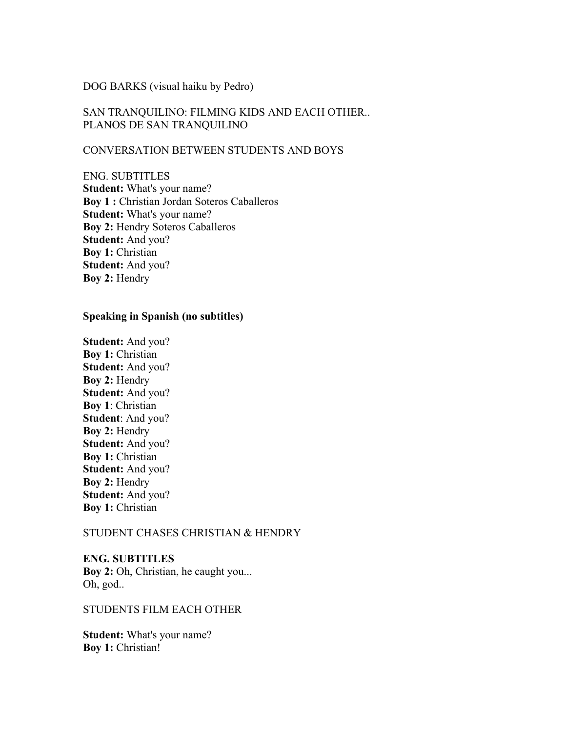### DOG BARKS (visual haiku by Pedro)

# SAN TRANQUILINO: FILMING KIDS AND EACH OTHER.. PLANOS DE SAN TRANQUILINO

# CONVERSATION BETWEEN STUDENTS AND BOYS

ENG. SUBTITLES **Student:** What's your name? **Boy 1 :** Christian Jordan Soteros Caballeros **Student:** What's your name? **Boy 2:** Hendry Soteros Caballeros **Student:** And you? **Boy 1:** Christian **Student:** And you? **Boy 2:** Hendry

#### **Speaking in Spanish (no subtitles)**

**Student:** And you? **Boy 1:** Christian **Student:** And you? **Boy 2:** Hendry **Student:** And you? **Boy 1**: Christian **Student**: And you? **Boy 2:** Hendry **Student:** And you? **Boy 1: Christian Student:** And you? **Boy 2:** Hendry **Student:** And you? **Boy 1: Christian** 

### STUDENT CHASES CHRISTIAN & HENDRY

**ENG. SUBTITLES** Boy 2: Oh, Christian, he caught you... Oh, god..

#### STUDENTS FILM EACH OTHER

**Student:** What's your name? **Boy 1:** Christian!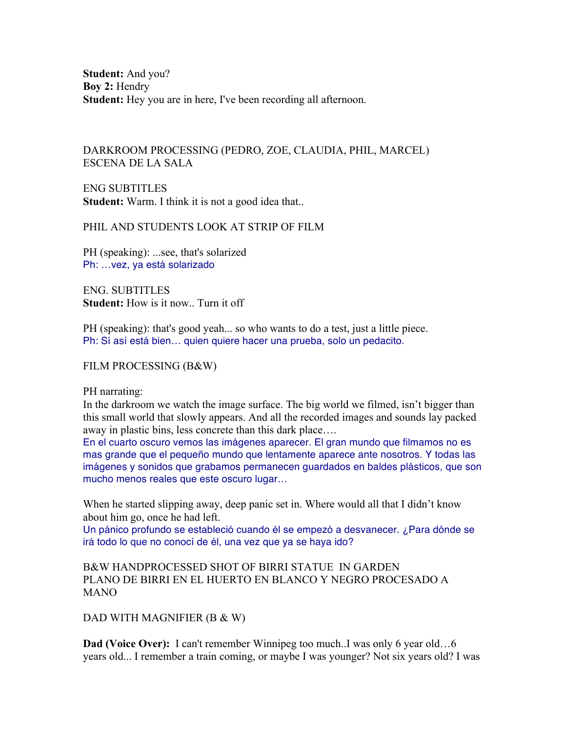**Student:** And you? **Boy 2:** Hendry **Student:** Hey you are in here, I've been recording all afternoon.

# DARKROOM PROCESSING (PEDRO, ZOE, CLAUDIA, PHIL, MARCEL) ESCENA DE LA SALA

ENG SUBTITLES **Student:** Warm. I think it is not a good idea that...

#### PHIL AND STUDENTS LOOK AT STRIP OF FILM

PH (speaking): ...see, that's solarized Ph: …vez, ya está solarizado

ENG. SUBTITLES **Student:** How is it now. Turn it off

PH (speaking): that's good yeah... so who wants to do a test, just a little piece. Ph: Sí así está bien... quien quiere hacer una prueba, solo un pedacito.

#### FILM PROCESSING (B&W)

#### PH narrating:

In the darkroom we watch the image surface. The big world we filmed, isn't bigger than this small world that slowly appears. And all the recorded images and sounds lay packed away in plastic bins, less concrete than this dark place….

En el cuarto oscuro vemos las imágenes aparecer. El gran mundo que filmamos no es mas grande que el pequeño mundo que lentamente aparece ante nosotros. Y todas las imágenes y sonidos que grabamos permanecen guardados en baldes plásticos, que son mucho menos reales que este oscuro lugar…

When he started slipping away, deep panic set in. Where would all that I didn't know about him go, once he had left.

Un pánico profundo se estableció cuando él se empezó a desvanecer. ¿Para dónde se irá todo lo que no conocí de él, una vez que ya se haya ido?

B&W HANDPROCESSED SHOT OF BIRRI STATUE IN GARDEN PLANO DE BIRRI EN EL HUERTO EN BLANCO Y NEGRO PROCESADO A MANO

DAD WITH MAGNIFIER (B & W)

**Dad (Voice Over):** I can't remember Winnipeg too much..I was only 6 year old...6 years old... I remember a train coming, or maybe I was younger? Not six years old? I was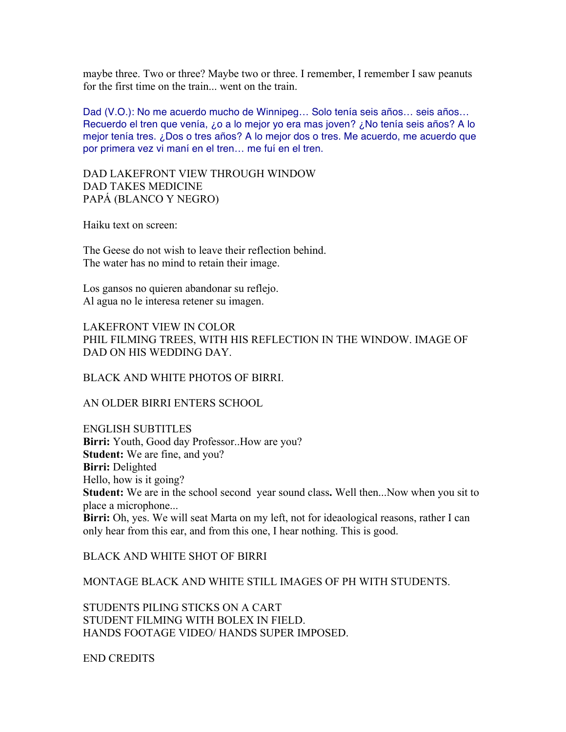maybe three. Two or three? Maybe two or three. I remember, I remember I saw peanuts for the first time on the train... went on the train.

Dad (V.O.): No me acuerdo mucho de Winnipeg… Solo tenía seis años… seis años… Recuerdo el tren que venía, ¿o a lo mejor yo era mas joven? ¿No tenía seis años? A lo mejor tenía tres. ¿Dos o tres años? A lo mejor dos o tres. Me acuerdo, me acuerdo que por primera vez vi maní en el tren… me fuí en el tren.

DAD LAKEFRONT VIEW THROUGH WINDOW DAD TAKES MEDICINE PAPÁ (BLANCO Y NEGRO)

Haiku text on screen:

The Geese do not wish to leave their reflection behind. The water has no mind to retain their image.

Los gansos no quieren abandonar su reflejo. Al agua no le interesa retener su imagen.

LAKEFRONT VIEW IN COLOR PHIL FILMING TREES, WITH HIS REFLECTION IN THE WINDOW. IMAGE OF DAD ON HIS WEDDING DAY.

BLACK AND WHITE PHOTOS OF BIRRI.

AN OLDER BIRRI ENTERS SCHOOL

ENGLISH SUBTITLES **Birri:** Youth, Good day Professor..How are you? **Student:** We are fine, and you? **Birri:** Delighted Hello, how is it going? **Student:** We are in the school second year sound class**.** Well then...Now when you sit to place a microphone... **Birri:** Oh, yes. We will seat Marta on my left, not for ideaological reasons, rather I can only hear from this ear, and from this one, I hear nothing. This is good.

BLACK AND WHITE SHOT OF BIRRI

MONTAGE BLACK AND WHITE STILL IMAGES OF PH WITH STUDENTS.

STUDENTS PILING STICKS ON A CART STUDENT FILMING WITH BOLEX IN FIELD. HANDS FOOTAGE VIDEO/ HANDS SUPER IMPOSED.

END CREDITS